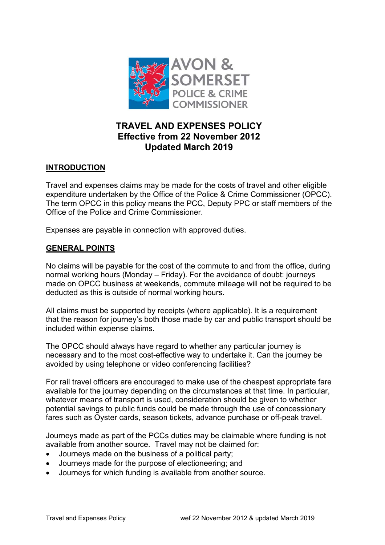

# **TRAVEL AND EXPENSES POLICY Effective from 22 November 2012 Updated March 2019**

## **INTRODUCTION**

Travel and expenses claims may be made for the costs of travel and other eligible expenditure undertaken by the Office of the Police & Crime Commissioner (OPCC). The term OPCC in this policy means the PCC, Deputy PPC or staff members of the Office of the Police and Crime Commissioner.

Expenses are payable in connection with approved duties.

## **GENERAL POINTS**

No claims will be payable for the cost of the commute to and from the office, during normal working hours (Monday – Friday). For the avoidance of doubt: journeys made on OPCC business at weekends, commute mileage will not be required to be deducted as this is outside of normal working hours.

All claims must be supported by receipts (where applicable). It is a requirement that the reason for journey's both those made by car and public transport should be included within expense claims.

The OPCC should always have regard to whether any particular journey is necessary and to the most cost-effective way to undertake it. Can the journey be avoided by using telephone or video conferencing facilities?

For rail travel officers are encouraged to make use of the cheapest appropriate fare available for the journey depending on the circumstances at that time. In particular, whatever means of transport is used, consideration should be given to whether potential savings to public funds could be made through the use of concessionary fares such as Oyster cards, season tickets, advance purchase or off-peak travel.

Journeys made as part of the PCCs duties may be claimable where funding is not available from another source. Travel may not be claimed for:

- Journeys made on the business of a political party;
- Journeys made for the purpose of electioneering; and
- Journeys for which funding is available from another source.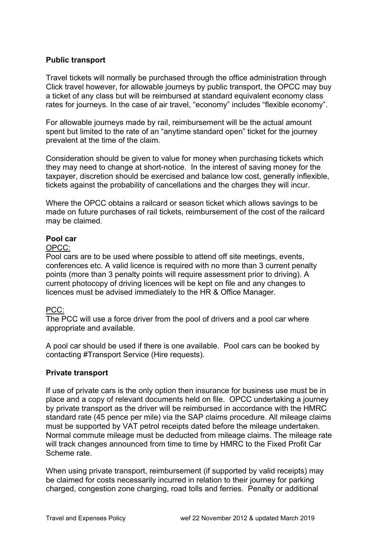## **Public transport**

Travel tickets will normally be purchased through the office administration through Click travel however, for allowable journeys by public transport, the OPCC may buy a ticket of any class but will be reimbursed at standard equivalent economy class rates for journeys. In the case of air travel, "economy" includes "flexible economy".

For allowable journeys made by rail, reimbursement will be the actual amount spent but limited to the rate of an "anytime standard open" ticket for the journey prevalent at the time of the claim.

Consideration should be given to value for money when purchasing tickets which they may need to change at short-notice. In the interest of saving money for the taxpayer, discretion should be exercised and balance low cost, generally inflexible, tickets against the probability of cancellations and the charges they will incur.

Where the OPCC obtains a railcard or season ticket which allows savings to be made on future purchases of rail tickets, reimbursement of the cost of the railcard may be claimed.

### **Pool car**

#### OPCC:

Pool cars are to be used where possible to attend off site meetings, events, conferences etc. A valid licence is required with no more than 3 current penalty points (more than 3 penalty points will require assessment prior to driving). A current photocopy of driving licences will be kept on file and any changes to licences must be advised immediately to the HR & Office Manager.

#### PCC:

The PCC will use a force driver from the pool of drivers and a pool car where appropriate and available.

A pool car should be used if there is one available. Pool cars can be booked by contacting #Transport Service (Hire requests).

#### **Private transport**

If use of private cars is the only option then insurance for business use must be in place and a copy of relevant documents held on file. OPCC undertaking a journey by private transport as the driver will be reimbursed in accordance with the HMRC standard rate (45 pence per mile) via the SAP claims procedure. All mileage claims must be supported by VAT petrol receipts dated before the mileage undertaken. Normal commute mileage must be deducted from mileage claims. The mileage rate will track changes announced from time to time by HMRC to the Fixed Profit Car Scheme rate.

When using private transport, reimbursement (if supported by valid receipts) may be claimed for costs necessarily incurred in relation to their journey for parking charged, congestion zone charging, road tolls and ferries. Penalty or additional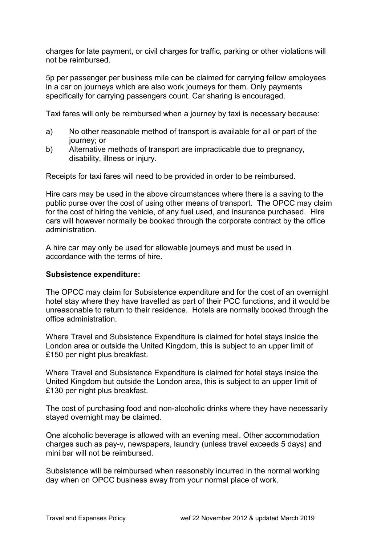charges for late payment, or civil charges for traffic, parking or other violations will not be reimbursed.

5p per passenger per business mile can be claimed for carrying fellow employees in a car on journeys which are also work journeys for them. Only payments specifically for carrying passengers count. Car sharing is encouraged.

Taxi fares will only be reimbursed when a journey by taxi is necessary because:

- a) No other reasonable method of transport is available for all or part of the journey; or
- b) Alternative methods of transport are impracticable due to pregnancy, disability, illness or injury.

Receipts for taxi fares will need to be provided in order to be reimbursed.

Hire cars may be used in the above circumstances where there is a saving to the public purse over the cost of using other means of transport. The OPCC may claim for the cost of hiring the vehicle, of any fuel used, and insurance purchased. Hire cars will however normally be booked through the corporate contract by the office administration.

A hire car may only be used for allowable journeys and must be used in accordance with the terms of hire.

#### **Subsistence expenditure:**

The OPCC may claim for Subsistence expenditure and for the cost of an overnight hotel stay where they have travelled as part of their PCC functions, and it would be unreasonable to return to their residence. Hotels are normally booked through the office administration.

Where Travel and Subsistence Expenditure is claimed for hotel stays inside the London area or outside the United Kingdom, this is subject to an upper limit of £150 per night plus breakfast.

Where Travel and Subsistence Expenditure is claimed for hotel stays inside the United Kingdom but outside the London area, this is subject to an upper limit of £130 per night plus breakfast.

The cost of purchasing food and non-alcoholic drinks where they have necessarily stayed overnight may be claimed.

One alcoholic beverage is allowed with an evening meal. Other accommodation charges such as pay-v, newspapers, laundry (unless travel exceeds 5 days) and mini bar will not be reimbursed.

Subsistence will be reimbursed when reasonably incurred in the normal working day when on OPCC business away from your normal place of work.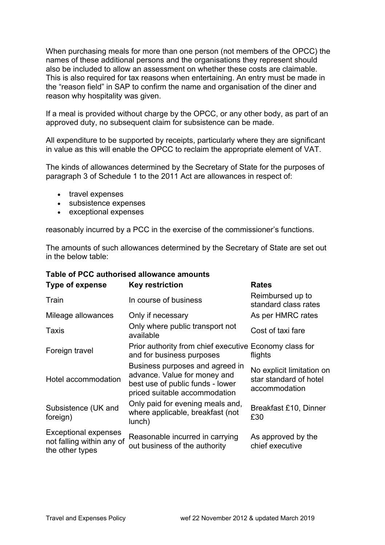When purchasing meals for more than one person (not members of the OPCC) the names of these additional persons and the organisations they represent should also be included to allow an assessment on whether these costs are claimable. This is also required for tax reasons when entertaining. An entry must be made in the "reason field" in SAP to confirm the name and organisation of the diner and reason why hospitality was given.

If a meal is provided without charge by the OPCC, or any other body, as part of an approved duty, no subsequent claim for subsistence can be made.

All expenditure to be supported by receipts, particularly where they are significant in value as this will enable the OPCC to reclaim the appropriate element of VAT.

The kinds of allowances determined by the Secretary of State for the purposes of paragraph 3 of Schedule 1 to the 2011 Act are allowances in respect of:

- travel expenses
- subsistence expenses
- exceptional expenses

reasonably incurred by a PCC in the exercise of the commissioner's functions.

The amounts of such allowances determined by the Secretary of State are set out in the below table:

| Table of PCC authorised allowance amounts                            |                                                                                                                                      |                                                                      |  |
|----------------------------------------------------------------------|--------------------------------------------------------------------------------------------------------------------------------------|----------------------------------------------------------------------|--|
| Type of expense                                                      | <b>Key restriction</b>                                                                                                               | <b>Rates</b>                                                         |  |
| Train                                                                | In course of business                                                                                                                | Reimbursed up to<br>standard class rates                             |  |
| Mileage allowances                                                   | Only if necessary                                                                                                                    | As per HMRC rates                                                    |  |
| Taxis                                                                | Only where public transport not<br>available                                                                                         | Cost of taxi fare                                                    |  |
| Foreign travel                                                       | Prior authority from chief executive Economy class for<br>and for business purposes                                                  | flights                                                              |  |
| Hotel accommodation                                                  | Business purposes and agreed in<br>advance. Value for money and<br>best use of public funds - lower<br>priced suitable accommodation | No explicit limitation on<br>star standard of hotel<br>accommodation |  |
| Subsistence (UK and<br>foreign)                                      | Only paid for evening meals and,<br>where applicable, breakfast (not<br>lunch)                                                       | Breakfast £10, Dinner<br>£30                                         |  |
| Exceptional expenses<br>not falling within any of<br>the other types | Reasonable incurred in carrying<br>out business of the authority                                                                     | As approved by the<br>chief executive                                |  |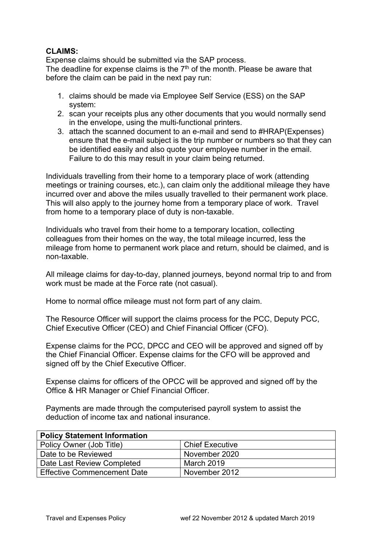## **CLAIMS:**

Expense claims should be submitted via the SAP process. The deadline for expense claims is the  $7<sup>th</sup>$  of the month. Please be aware that before the claim can be paid in the next pay run:

- 1. claims should be made via Employee Self Service (ESS) on the SAP system:
- 2. scan your receipts plus any other documents that you would normally send in the envelope, using the multi-functional printers.
- 3. attach the scanned document to an e-mail and send to #HRAP(Expenses) ensure that the e-mail subject is the trip number or numbers so that they can be identified easily and also quote your employee number in the email. Failure to do this may result in your claim being returned.

Individuals travelling from their home to a temporary place of work (attending meetings or training courses, etc.), can claim only the additional mileage they have incurred over and above the miles usually travelled to their permanent work place. This will also apply to the journey home from a temporary place of work. Travel from home to a temporary place of duty is non-taxable.

Individuals who travel from their home to a temporary location, collecting colleagues from their homes on the way, the total mileage incurred, less the mileage from home to permanent work place and return, should be claimed, and is non-taxable.

All mileage claims for day-to-day, planned journeys, beyond normal trip to and from work must be made at the Force rate (not casual).

Home to normal office mileage must not form part of any claim.

The Resource Officer will support the claims process for the PCC, Deputy PCC, Chief Executive Officer (CEO) and Chief Financial Officer (CFO).

Expense claims for the PCC, DPCC and CEO will be approved and signed off by the Chief Financial Officer. Expense claims for the CFO will be approved and signed off by the Chief Executive Officer.

Expense claims for officers of the OPCC will be approved and signed off by the Office & HR Manager or Chief Financial Officer.

Payments are made through the computerised payroll system to assist the deduction of income tax and national insurance.

| <b>Policy Statement Information</b> |                        |
|-------------------------------------|------------------------|
| Policy Owner (Job Title)            | <b>Chief Executive</b> |
| Date to be Reviewed                 | November 2020          |
| Date Last Review Completed          | March 2019             |
| <b>Effective Commencement Date</b>  | November 2012          |